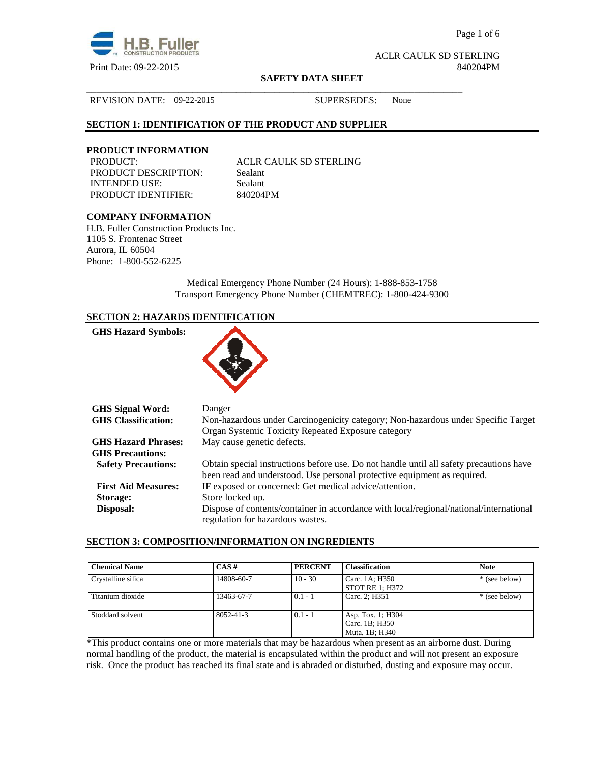

Page 1 of 6

ACLR CAULK SD STERLING Print Date: 09-22-2015 840204PM

#### **SAFETY DATA SHEET**

\_\_\_\_\_\_\_\_\_\_\_\_\_\_\_\_\_\_\_\_\_\_\_\_\_\_\_\_\_\_\_\_\_\_\_\_\_\_\_\_\_\_\_\_\_\_\_\_\_\_\_\_\_\_\_\_\_\_\_\_\_\_\_\_\_\_\_\_\_\_\_\_\_\_\_\_\_\_

## REVISION DATE: 09-22-2015 SUPERSEDES: None

## **SECTION 1: IDENTIFICATION OF THE PRODUCT AND SUPPLIER**

# **PRODUCT INFORMATION**

PRODUCT DESCRIPTION: Sealant INTENDED USE: Sealant PRODUCT IDENTIFIER: 840204PM

ACLR CAULK SD STERLING

## **COMPANY INFORMATION**

H.B. Fuller Construction Products Inc. 1105 S. Frontenac Street Aurora, IL 60504 Phone: 1-800-552-6225

> Medical Emergency Phone Number (24 Hours): 1-888-853-1758 Transport Emergency Phone Number (CHEMTREC): 1-800-424-9300

## **SECTION 2: HAZARDS IDENTIFICATION**

| <b>GHS Hazard Symbols:</b> |  |
|----------------------------|--|
|                            |  |

| <b>GHS Signal Word:</b>    | Danger                                                                                  |
|----------------------------|-----------------------------------------------------------------------------------------|
| <b>GHS Classification:</b> | Non-hazardous under Carcinogenicity category; Non-hazardous under Specific Target       |
|                            | Organ Systemic Toxicity Repeated Exposure category                                      |
| <b>GHS Hazard Phrases:</b> | May cause genetic defects.                                                              |
| <b>GHS Precautions:</b>    |                                                                                         |
| <b>Safety Precautions:</b> | Obtain special instructions before use. Do not handle until all safety precautions have |
|                            | been read and understood. Use personal protective equipment as required.                |
| <b>First Aid Measures:</b> | IF exposed or concerned: Get medical advice/attention.                                  |
| Storage:                   | Store locked up.                                                                        |
| Disposal:                  | Dispose of contents/container in accordance with local/regional/national/international  |
|                            | regulation for hazardous wastes.                                                        |

#### **SECTION 3: COMPOSITION/INFORMATION ON INGREDIENTS**

| <b>Chemical Name</b> | $CAS \#$        | <b>PERCENT</b> | <b>Classification</b>                                 | <b>Note</b>   |
|----------------------|-----------------|----------------|-------------------------------------------------------|---------------|
| Crystalline silica   | 14808-60-7      | $10 - 30$      | Carc. 1A; H350<br>STOT RE 1: H372                     | * (see below) |
| Titanium dioxide     | 13463-67-7      | $0.1 - 1$      | Carc. 2; H351                                         | * (see below) |
| Stoddard solvent     | $8052 - 41 - 3$ | $0.1 - 1$      | Asp. Tox. 1; H304<br>Carc. 1B; H350<br>Muta. 1B: H340 |               |

\*This product contains one or more materials that may be hazardous when present as an airborne dust. During normal handling of the product, the material is encapsulated within the product and will not present an exposure risk. Once the product has reached its final state and is abraded or disturbed, dusting and exposure may occur.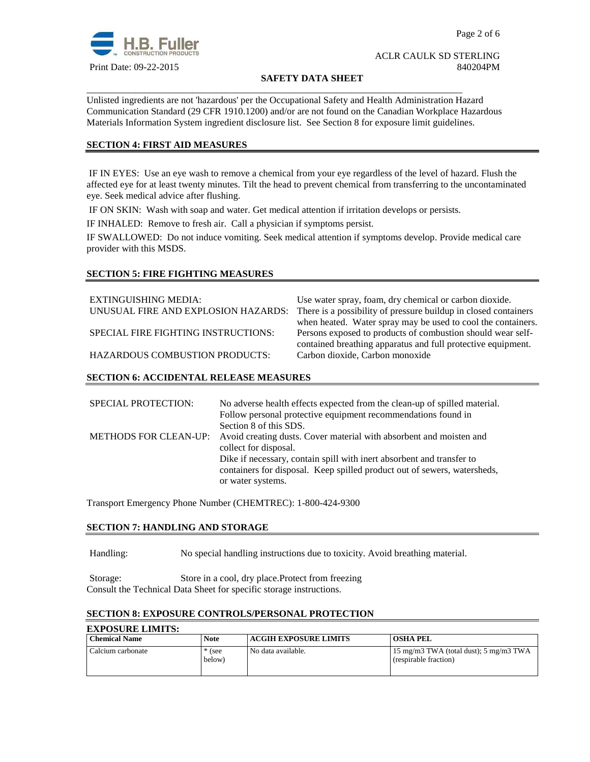

#### **SAFETY DATA SHEET**

Unlisted ingredients are not 'hazardous' per the Occupational Safety and Health Administration Hazard Communication Standard (29 CFR 1910.1200) and/or are not found on the Canadian Workplace Hazardous Materials Information System ingredient disclosure list. See Section 8 for exposure limit guidelines.

\_\_\_\_\_\_\_\_\_\_\_\_\_\_\_\_\_\_\_\_\_\_\_\_\_\_\_\_\_\_\_\_\_\_\_\_\_\_\_\_\_\_\_\_\_\_\_\_\_\_\_\_\_\_\_\_\_\_\_\_\_\_\_\_\_\_\_\_\_\_\_\_\_\_\_\_\_\_

## **SECTION 4: FIRST AID MEASURES**

 IF IN EYES: Use an eye wash to remove a chemical from your eye regardless of the level of hazard. Flush the affected eye for at least twenty minutes. Tilt the head to prevent chemical from transferring to the uncontaminated eye. Seek medical advice after flushing.

IF ON SKIN: Wash with soap and water. Get medical attention if irritation develops or persists.

IF INHALED: Remove to fresh air. Call a physician if symptoms persist.

IF SWALLOWED:Do not induce vomiting. Seek medical attention if symptoms develop. Provide medical care provider with this MSDS.

## **SECTION 5: FIRE FIGHTING MEASURES**

| EXTINGUISHING MEDIA:                  | Use water spray, foam, dry chemical or carbon dioxide.          |
|---------------------------------------|-----------------------------------------------------------------|
| UNUSUAL FIRE AND EXPLOSION HAZARDS:   | There is a possibility of pressure buildup in closed containers |
|                                       | when heated. Water spray may be used to cool the containers.    |
| SPECIAL FIRE FIGHTING INSTRUCTIONS:   | Persons exposed to products of combustion should wear self-     |
|                                       | contained breathing apparatus and full protective equipment.    |
| <b>HAZARDOUS COMBUSTION PRODUCTS:</b> | Carbon dioxide, Carbon monoxide                                 |
|                                       |                                                                 |

## **SECTION 6: ACCIDENTAL RELEASE MEASURES**

| <b>SPECIAL PROTECTION:</b>   | No adverse health effects expected from the clean-up of spilled material. |
|------------------------------|---------------------------------------------------------------------------|
|                              | Follow personal protective equipment recommendations found in             |
|                              | Section 8 of this SDS.                                                    |
| <b>METHODS FOR CLEAN-UP:</b> | Avoid creating dusts. Cover material with absorbent and moisten and       |
|                              | collect for disposal.                                                     |
|                              | Dike if necessary, contain spill with inert absorbent and transfer to     |
|                              | containers for disposal. Keep spilled product out of sewers, watersheds,  |
|                              | or water systems.                                                         |

Transport Emergency Phone Number (CHEMTREC): 1-800-424-9300

## **SECTION 7: HANDLING AND STORAGE**

Handling: No special handling instructions due to toxicity. Avoid breathing material.

Storage: Store in a cool, dry place.Protect from freezing Consult the Technical Data Sheet for specific storage instructions.

## **SECTION 8: EXPOSURE CONTROLS/PERSONAL PROTECTION**

| <b>EXPOSURE LIMITS:</b> |                    |                              |                                                                            |
|-------------------------|--------------------|------------------------------|----------------------------------------------------------------------------|
| <b>Chemical Name</b>    | <b>Note</b>        | <b>ACGIH EXPOSURE LIMITS</b> | <b>OSHA PEL</b>                                                            |
| Calcium carbonate       | $*$ (see<br>below) | No data available.           | 15 mg/m3 TWA (total dust); $5 \text{ mg/m}$ 3 TWA<br>(respirable fraction) |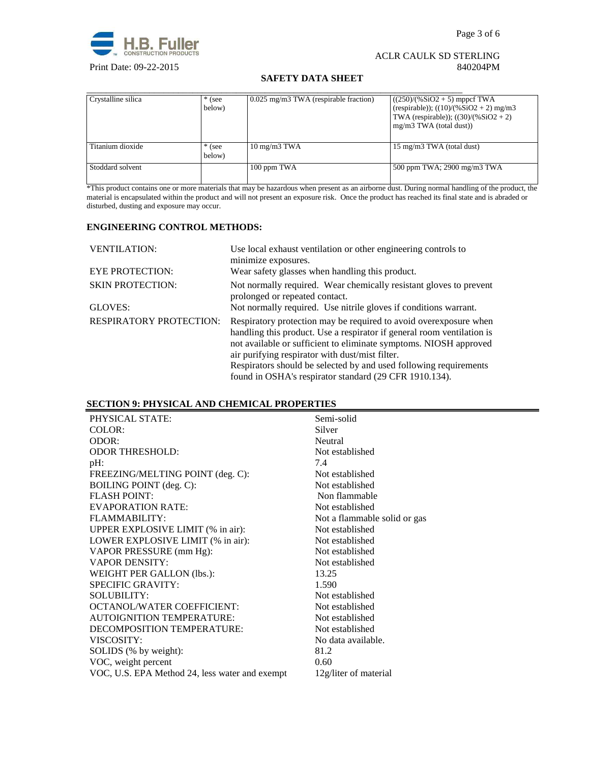

## **SAFETY DATA SHEET**

| Crystalline silica | * (see<br>below)   | 0.025 mg/m3 TWA (respirable fraction) | $((250)/(%SiO2 + 5)$ mppcf TWA<br>(respirable)); $((10)/(%SiO2 + 2)$ mg/m3<br>TWA (respirable)); $((30)/(%SiO2 + 2))$<br>mg/m3 TWA (total dust)) |
|--------------------|--------------------|---------------------------------------|--------------------------------------------------------------------------------------------------------------------------------------------------|
| Titanium dioxide   | $*$ (see<br>below) | $10 \text{ mg/m}$ $3 \text{ TWA}$     | 15 mg/m3 TWA (total dust)                                                                                                                        |
| Stoddard solvent   |                    | 100 ppm TWA                           | 500 ppm TWA; 2900 mg/m3 TWA                                                                                                                      |

\*This product contains one or more materials that may be hazardous when present as an airborne dust. During normal handling of the product, the material is encapsulated within the product and will not present an exposure risk. Once the product has reached its final state and is abraded or disturbed, dusting and exposure may occur.

## **ENGINEERING CONTROL METHODS:**

| <b>VENTILATION:</b>            | Use local exhaust ventilation or other engineering controls to<br>minimize exposures.                                                                                                                                                                                                                                                                                                               |
|--------------------------------|-----------------------------------------------------------------------------------------------------------------------------------------------------------------------------------------------------------------------------------------------------------------------------------------------------------------------------------------------------------------------------------------------------|
| <b>EYE PROTECTION:</b>         | Wear safety glasses when handling this product.                                                                                                                                                                                                                                                                                                                                                     |
| <b>SKIN PROTECTION:</b>        | Not normally required. Wear chemically resistant gloves to prevent<br>prolonged or repeated contact.                                                                                                                                                                                                                                                                                                |
| GLOVES:                        | Not normally required. Use nitrile gloves if conditions warrant.                                                                                                                                                                                                                                                                                                                                    |
| <b>RESPIRATORY PROTECTION:</b> | Respiratory protection may be required to avoid over exposure when<br>handling this product. Use a respirator if general room ventilation is<br>not available or sufficient to eliminate symptoms. NIOSH approved<br>air purifying respirator with dust/mist filter.<br>Respirators should be selected by and used following requirements<br>found in OSHA's respirator standard (29 CFR 1910.134). |

## **SECTION 9: PHYSICAL AND CHEMICAL PROPERTIES**

| PHYSICAL STATE:                                | Semi-solid                   |
|------------------------------------------------|------------------------------|
| COLOR:                                         | Silver                       |
| ODOR:                                          | Neutral                      |
| <b>ODOR THRESHOLD:</b>                         | Not established              |
| $pH$ :                                         | 7.4                          |
| FREEZING/MELTING POINT (deg. C):               | Not established              |
| BOILING POINT (deg. C):                        | Not established              |
| <b>FLASH POINT:</b>                            | Non flammable                |
| <b>EVAPORATION RATE:</b>                       | Not established              |
| FLAMMABILITY:                                  | Not a flammable solid or gas |
| UPPER EXPLOSIVE LIMIT (% in air):              | Not established              |
| LOWER EXPLOSIVE LIMIT (% in air):              | Not established              |
| VAPOR PRESSURE (mm Hg):                        | Not established              |
| <b>VAPOR DENSITY:</b>                          | Not established              |
| WEIGHT PER GALLON (lbs.):                      | 13.25                        |
| <b>SPECIFIC GRAVITY:</b>                       | 1.590                        |
| <b>SOLUBILITY:</b>                             | Not established              |
| OCTANOL/WATER COEFFICIENT:                     | Not established              |
| <b>AUTOIGNITION TEMPERATURE:</b>               | Not established              |
| DECOMPOSITION TEMPERATURE:                     | Not established              |
| VISCOSITY:                                     | No data available.           |
| SOLIDS (% by weight):                          | 81.2                         |
| VOC, weight percent                            | 0.60                         |
| VOC, U.S. EPA Method 24, less water and exempt | 12g/liter of material        |
|                                                |                              |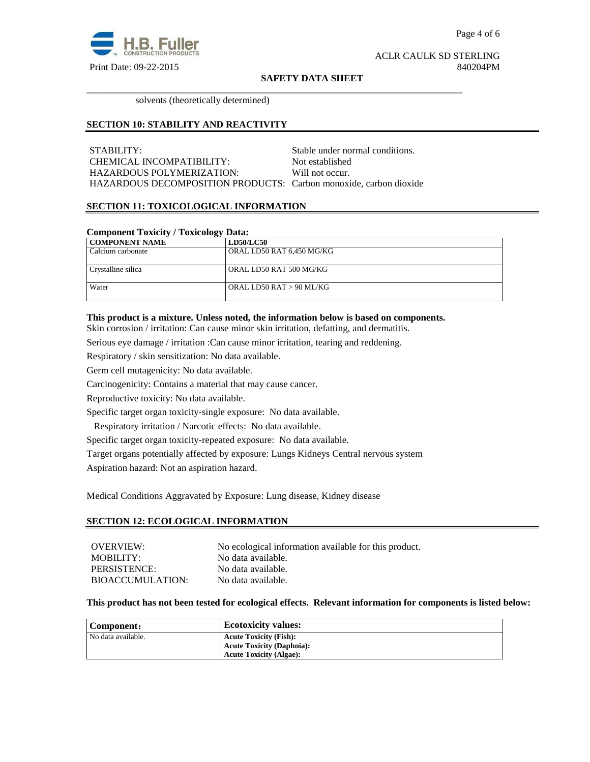

#### **SAFETY DATA SHEET**

\_\_\_\_\_\_\_\_\_\_\_\_\_\_\_\_\_\_\_\_\_\_\_\_\_\_\_\_\_\_\_\_\_\_\_\_\_\_\_\_\_\_\_\_\_\_\_\_\_\_\_\_\_\_\_\_\_\_\_\_\_\_\_\_\_\_\_\_\_\_\_\_\_\_\_\_\_\_

solvents (theoretically determined)

#### **SECTION 10: STABILITY AND REACTIVITY**

STABILITY: STABILITY: CHEMICAL INCOMPATIBILITY: Not established HAZARDOUS POLYMERIZATION: Will not occur. HAZARDOUS DECOMPOSITION PRODUCTS: Carbon monoxide, carbon dioxide

## **SECTION 11: TOXICOLOGICAL INFORMATION**

| <b>Component Toxicity / Toxicology Data:</b> |                           |
|----------------------------------------------|---------------------------|
| <b>COMPONENT NAME</b>                        | <b>LD50/LC50</b>          |
| Calcium carbonate                            | ORAL LD50 RAT 6,450 MG/KG |
| Crystalline silica                           | ORAL LD50 RAT 500 MG/KG   |
| Water                                        | ORAL LD50 RAT > 90 ML/KG  |

### **This product is a mixture. Unless noted, the information below is based on components.**

Skin corrosion / irritation: Can cause minor skin irritation, defatting, and dermatitis.

Serious eye damage / irritation :Can cause minor irritation, tearing and reddening.

Respiratory / skin sensitization: No data available.

Germ cell mutagenicity: No data available.

Carcinogenicity: Contains a material that may cause cancer.

Reproductive toxicity: No data available.

Specific target organ toxicity-single exposure:No data available.

Respiratory irritation / Narcotic effects: No data available.

Specific target organ toxicity-repeated exposure:No data available.

Target organs potentially affected by exposure: Lungs Kidneys Central nervous system

Aspiration hazard: Not an aspiration hazard.

Medical Conditions Aggravated by Exposure: Lung disease, Kidney disease

#### **SECTION 12: ECOLOGICAL INFORMATION**

| OVERVIEW:               | No ecological information available for this product. |
|-------------------------|-------------------------------------------------------|
| MOBILITY:               | No data available.                                    |
| PERSISTENCE:            | No data available.                                    |
| <b>BIOACCUMULATION:</b> | No data available.                                    |

#### **This product has not been tested for ecological effects. Relevant information for components is listed below:**

| Component:         | <b>Ecotoxicity values:</b>       |
|--------------------|----------------------------------|
| No data available. | <b>Acute Toxicity (Fish):</b>    |
|                    | <b>Acute Toxicity (Daphnia):</b> |
|                    | <b>Acute Toxicity (Algae):</b>   |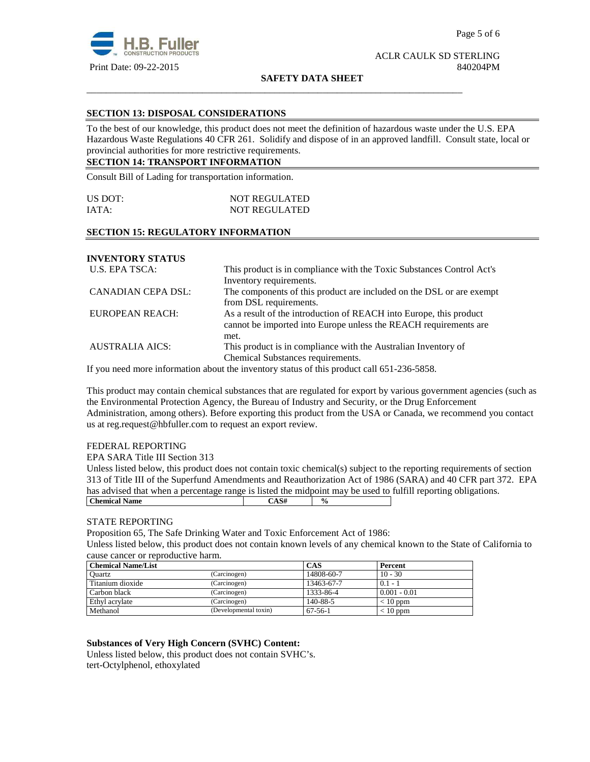

#### **SAFETY DATA SHEET**

\_\_\_\_\_\_\_\_\_\_\_\_\_\_\_\_\_\_\_\_\_\_\_\_\_\_\_\_\_\_\_\_\_\_\_\_\_\_\_\_\_\_\_\_\_\_\_\_\_\_\_\_\_\_\_\_\_\_\_\_\_\_\_\_\_\_\_\_\_\_\_\_\_\_\_\_\_\_

## **SECTION 13: DISPOSAL CONSIDERATIONS**

To the best of our knowledge, this product does not meet the definition of hazardous waste under the U.S. EPA Hazardous Waste Regulations 40 CFR 261. Solidify and dispose of in an approved landfill. Consult state, local or provincial authorities for more restrictive requirements.

## **SECTION 14: TRANSPORT INFORMATION**

Consult Bill of Lading for transportation information.

| US DOT: | <b>NOT REGULATED</b> |  |
|---------|----------------------|--|
| IATA:   | <b>NOT REGULATED</b> |  |

## **SECTION 15: REGULATORY INFORMATION**

## **INVENTORY STATUS**

| U.S. EPA TSCA:            | This product is in compliance with the Toxic Substances Control Act's |  |
|---------------------------|-----------------------------------------------------------------------|--|
|                           | Inventory requirements.                                               |  |
| <b>CANADIAN CEPA DSL:</b> | The components of this product are included on the DSL or are exempt  |  |
|                           | from DSL requirements.                                                |  |
| EUROPEAN REACH:           | As a result of the introduction of REACH into Europe, this product    |  |
|                           | cannot be imported into Europe unless the REACH requirements are      |  |
|                           | met.                                                                  |  |
| <b>AUSTRALIA AICS:</b>    | This product is in compliance with the Australian Inventory of        |  |
|                           | Chemical Substances requirements.                                     |  |

If you need more information about the inventory status of this product call 651-236-5858.

This product may contain chemical substances that are regulated for export by various government agencies (such as the Environmental Protection Agency, the Bureau of Industry and Security, or the Drug Enforcement Administration, among others). Before exporting this product from the USA or Canada, we recommend you contact us at reg.request@hbfuller.com to request an export review.

## FEDERAL REPORTING

EPA SARA Title III Section 313

Unless listed below, this product does not contain toxic chemical(s) subject to the reporting requirements of section 313 of Title III of the Superfund Amendments and Reauthorization Act of 1986 (SARA) and 40 CFR part 372. EPA has advised that when a percentage range is listed the midpoint may be used to fulfill reporting obligations. **Chemical Name**  $\begin{array}{|c|c|c|c|} \hline \text{CAS#} & \varphi_0 & \text{CAS}^+ \\\hline \end{array}$ 

## STATE REPORTING

Proposition 65, The Safe Drinking Water and Toxic Enforcement Act of 1986:

Unless listed below, this product does not contain known levels of any chemical known to the State of California to cause cancer or reproductive harm.

| <b>Chemical Name/List</b> |                       | CAS        | Percent        |
|---------------------------|-----------------------|------------|----------------|
| Ouartz                    | (Carcinogen)          | 14808-60-7 | $10 - 30$      |
| Titanium dioxide          | (Carcinogen)          | 13463-67-7 | $0.1 - 1$      |
| Carbon black              | (Carcinogen)          | 1333-86-4  | $0.001 - 0.01$ |
| Ethyl acrylate            | (Carcinogen)          | 140-88-5   | $< 10$ ppm     |
| Methanol                  | (Developmental toxin) | 67-56-1    | $< 10$ ppm     |

## **Substances of Very High Concern (SVHC) Content:**

Unless listed below, this product does not contain SVHC's. tert-Octylphenol, ethoxylated